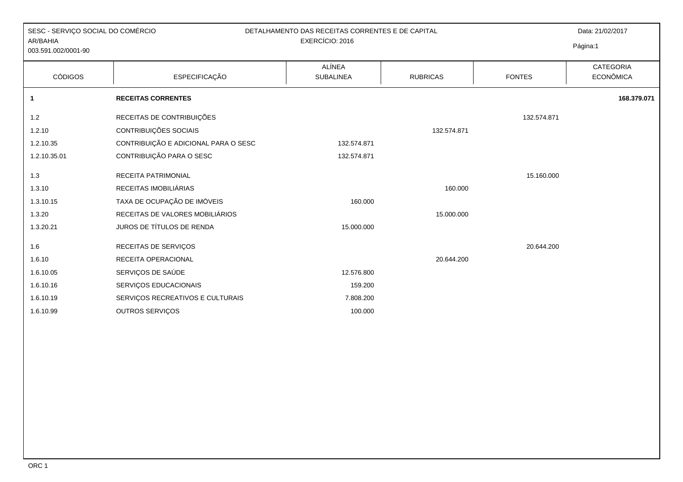| SESC - SERVIÇO SOCIAL DO COMÉRCIO<br>AR/BAHIA<br>003.591.002/0001-90 |                                      | DETALHAMENTO DAS RECEITAS CORRENTES E DE CAPITAL<br>EXERCÍCIO: 2016 |                 |               | Data: 21/02/2017<br>Página:1  |
|----------------------------------------------------------------------|--------------------------------------|---------------------------------------------------------------------|-----------------|---------------|-------------------------------|
| <b>CÓDIGOS</b>                                                       | <b>ESPECIFICAÇÃO</b>                 | <b>ALÍNEA</b><br><b>SUBALINEA</b>                                   | <b>RUBRICAS</b> | <b>FONTES</b> | CATEGORIA<br><b>ECONÔMICA</b> |
| $\mathbf{1}$                                                         | <b>RECEITAS CORRENTES</b>            |                                                                     |                 |               | 168.379.071                   |
| 1.2                                                                  | RECEITAS DE CONTRIBUIÇÕES            |                                                                     |                 | 132.574.871   |                               |
| 1.2.10                                                               | CONTRIBUIÇÕES SOCIAIS                |                                                                     | 132.574.871     |               |                               |
| 1.2.10.35                                                            | CONTRIBUIÇÃO E ADICIONAL PARA O SESC | 132.574.871                                                         |                 |               |                               |
| 1.2.10.35.01                                                         | CONTRIBUIÇÃO PARA O SESC             | 132.574.871                                                         |                 |               |                               |
| 1.3                                                                  | RECEITA PATRIMONIAL                  |                                                                     |                 | 15.160.000    |                               |
| 1.3.10                                                               | RECEITAS IMOBILIÁRIAS                |                                                                     | 160.000         |               |                               |
| 1.3.10.15                                                            | TAXA DE OCUPAÇÃO DE IMÓVEIS          | 160.000                                                             |                 |               |                               |
| 1.3.20                                                               | RECEITAS DE VALORES MOBILIÁRIOS      |                                                                     | 15.000.000      |               |                               |
| 1.3.20.21                                                            | JUROS DE TÍTULOS DE RENDA            | 15.000.000                                                          |                 |               |                               |
| 1.6                                                                  | RECEITAS DE SERVIÇOS                 |                                                                     |                 | 20.644.200    |                               |
| 1.6.10                                                               | RECEITA OPERACIONAL                  |                                                                     | 20.644.200      |               |                               |
| 1.6.10.05                                                            | SERVIÇOS DE SAÚDE                    | 12.576.800                                                          |                 |               |                               |
| 1.6.10.16                                                            | SERVIÇOS EDUCACIONAIS                | 159.200                                                             |                 |               |                               |
| 1.6.10.19                                                            | SERVIÇOS RECREATIVOS E CULTURAIS     | 7.808.200                                                           |                 |               |                               |
| 1.6.10.99                                                            | OUTROS SERVIÇOS                      | 100.000                                                             |                 |               |                               |